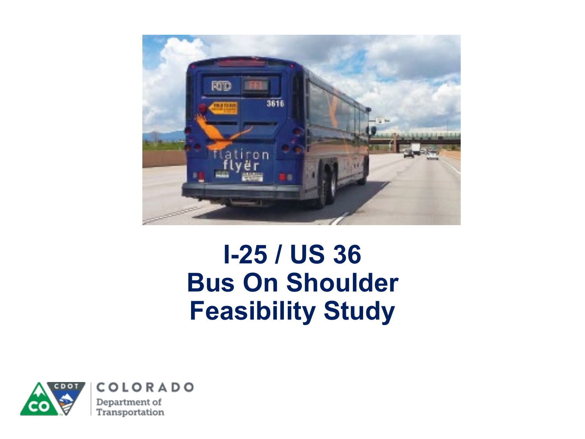

#### **I-25 / US 36 Bus On Shoulder Feasibility Study**

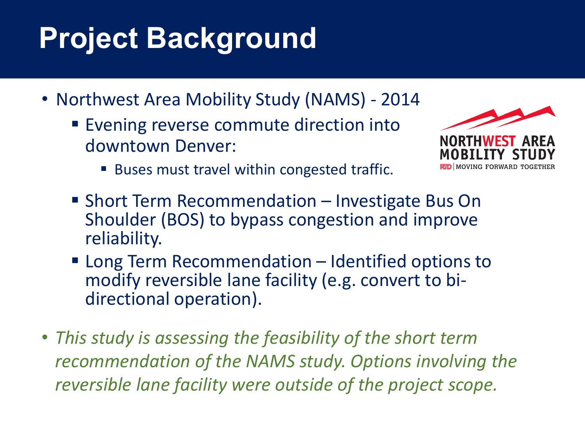## **Project Background**

- Northwest Area Mobility Study (NAMS) 2014
	- Evening reverse commute direction into downtown Denver:



- Buses must travel within congested traffic.
- Short Term Recommendation Investigate Bus On Shoulder (BOS) to bypass congestion and improve reliability.
- Long Term Recommendation Identified options to modify reversible lane facility (e.g. convert to bi- directional operation).
- *This study is assessing the feasibility of the short term recommendation of the NAMS study. Options involving the reversible lane facility were outside of the project scope.*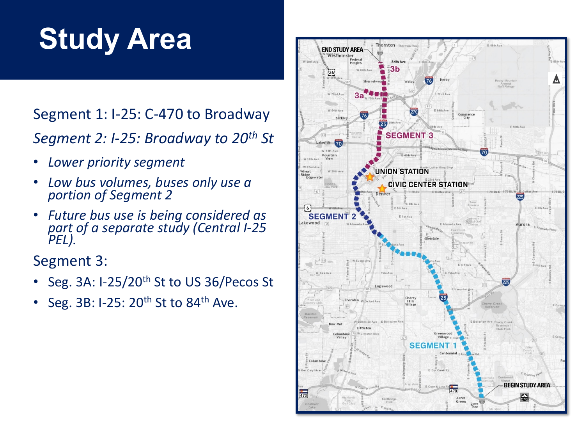## **Study Area**

#### Segment 1: I-25: C-470 to Broadway *Segment 2: I-25: Broadway to 20th St*

- *Lower priority segment*
- *Low bus volumes, buses only use a portion of Segment 2*
- *Future bus use is being considered as part of a separate study (Central I-25 PEL).*

Segment 3:

- Seg. 3A: I-25/20<sup>th</sup> St to US 36/Pecos St
- Seg. 3B: I-25:  $20<sup>th</sup>$  St to 84<sup>th</sup> Ave.

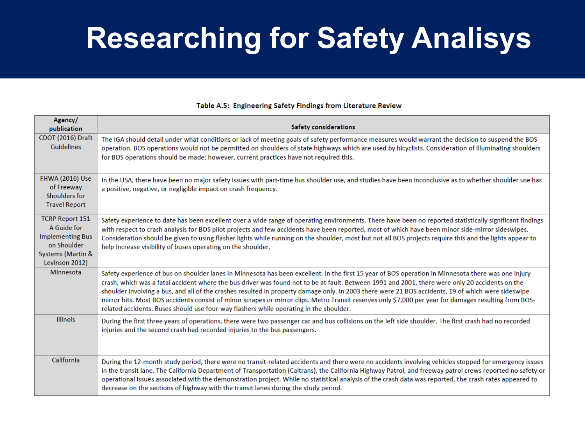### **Researching for Safety Analisys**

#### Agency/ **Safety considerations** publication CDOT (2016) Draft The IGA should detail under what conditions or lack of meeting goals of safety performance measures would warrant the decision to suspend the BOS Guidelines operation. BOS operations would not be permitted on shoulders of state highways which are used by bicyclists. Consideration of illuminating shoulders for BOS operations should be made; however, current practices have not required this. **FHWA (2016) Use** In the USA, there have been no major safety issues with part-time bus shoulder use, and studies have been inconclusive as to whether shoulder use has of Freeway a positive, negative, or negligible impact on crash frequency. Shoulders for **Travel Report TCRP Report 151** Safety experience to date has been excellent over a wide range of operating environments. There have been no reported statistically significant findings A Guide for with respect to crash analysis for BOS pilot projects and few accidents have been reported, most of which have been minor side-mirror sideswipes. **Implementing Bus** Consideration should be given to using flasher lights while running on the shoulder, most but not all BOS projects require this and the lights appear to on Shoulder help increase visibility of buses operating on the shoulder. **Systems (Martin &** Levinson 2012) Minnesota Safety experience of bus on shoulder lanes in Minnesota has been excellent. In the first 15 year of BOS operation in Minnesota there was one injury crash, which was a fatal accident where the bus driver was found not to be at fault. Between 1991 and 2001, there were only 20 accidents on the shoulder involving a bus, and all of the crashes resulted in property damage only. In 2003 there were 21 BOS accidents, 19 of which were sideswipe mirror hits. Most BOS accidents consist of minor scrapes or mirror clips. Metro Transit reserves only \$7,000 per year for damages resulting from BOSrelated accidents. Buses should use four-way flashers while operating in the shoulder. Illinois During the first three years of operations, there were two passenger car and bus collisions on the left side shoulder. The first crash had no recorded injuries and the second crash had recorded injuries to the bus passengers. California During the 12-month study period, there were no transit-related accidents and there were no accidents involving vehicles stopped for emergency issues in the transit lane. The California Department of Transportation (Caltrans), the California Highway Patrol, and freeway patrol crews reported no safety or operational issues associated with the demonstration project. While no statistical analysis of the crash data was reported, the crash rates appeared to decrease on the sections of highway with the transit lanes during the study period.

#### Table A.5: Engineering Safety Findings from Literature Review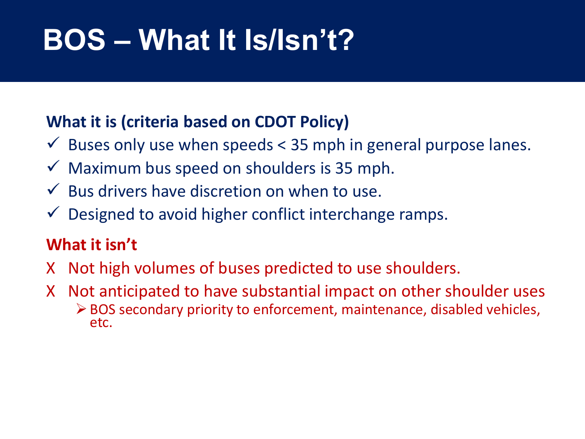## **BOS – What It Is/Isn't?**

#### **What it is (criteria based on CDOT Policy)**

- $\checkmark$  Buses only use when speeds < 35 mph in general purpose lanes.
- $\checkmark$  Maximum bus speed on shoulders is 35 mph.
- $\checkmark$  Bus drivers have discretion on when to use.
- $\checkmark$  Designed to avoid higher conflict interchange ramps.

#### **What it isn't**

- X Not high volumes of buses predicted to use shoulders.
- X Not anticipated to have substantial impact on other shoulder uses BOS secondary priority to enforcement, maintenance, disabled vehicles, etc.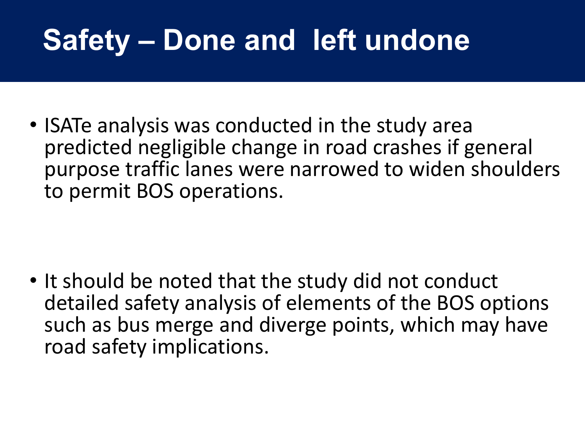### **Safety – Done and left undone**

• ISATe analysis was conducted in the study area predicted negligible change in road crashes if general purpose traffic lanes were narrowed to widen shoulders to permit BOS operations.

• It should be noted that the study did not conduct detailed safety analysis of elements of the BOS options such as bus merge and diverge points, which may have road safety implications.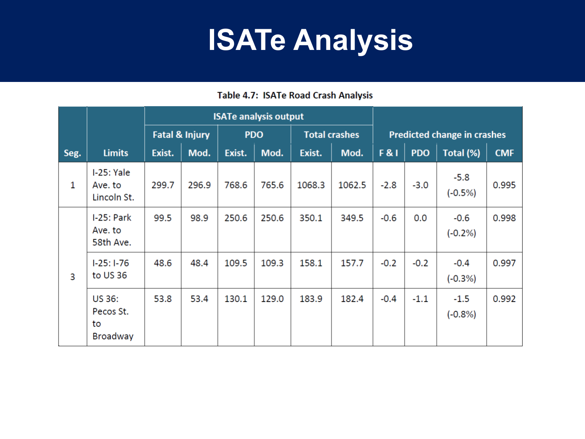### **ISATe Analysis**

#### Table 4.7: ISATe Road Crash Analysis

|      |                                                     | <b>ISATe analysis output</b> |       |            |       |                      |        |                                    |            |                      |            |
|------|-----------------------------------------------------|------------------------------|-------|------------|-------|----------------------|--------|------------------------------------|------------|----------------------|------------|
|      |                                                     | <b>Fatal &amp; Injury</b>    |       | <b>PDO</b> |       | <b>Total crashes</b> |        | <b>Predicted change in crashes</b> |            |                      |            |
| Seg. | <b>Limits</b>                                       | Exist.                       | Mod.  | Exist.     | Mod.  | Exist.               | Mod.   | <b>F&amp;I</b>                     | <b>PDO</b> | Total (%)            | <b>CMF</b> |
| 1    | $I-25: Yale$<br>Ave. to<br>Lincoln St.              | 299.7                        | 296.9 | 768.6      | 765.6 | 1068.3               | 1062.5 | $-2.8$                             | $-3.0$     | $-5.8$<br>$(-0.5%)$  | 0.995      |
| 3    | $I-25: Park$<br>Ave. to<br>58th Ave.                | 99.5                         | 98.9  | 250.6      | 250.6 | 350.1                | 349.5  | $-0.6$                             | 0.0        | $-0.6$<br>$(-0.2\%)$ | 0.998      |
|      | $1-25:1-76$<br>to US 36                             | 48.6                         | 48.4  | 109.5      | 109.3 | 158.1                | 157.7  | $-0.2$                             | $-0.2$     | $-0.4$<br>$(-0.3%)$  | 0.997      |
|      | <b>US 36:</b><br>Pecos St.<br>to<br><b>Broadway</b> | 53.8                         | 53.4  | 130.1      | 129.0 | 183.9                | 182.4  | $-0.4$                             | $-1.1$     | $-1.5$<br>$(-0.8%)$  | 0.992      |